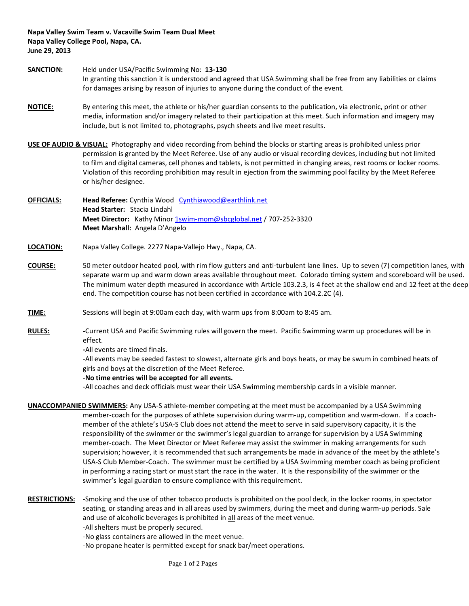**Napa Valley Swim Team v. Vacaville Swim Team Dual Meet Napa Valley College Pool, Napa, CA. June 29, 2013**

- **SANCTION:** Held under USA/Pacific Swimming No: **13-130** In granting this sanction it is understood and agreed that USA Swimming shall be free from any liabilities or claims for damages arising by reason of injuries to anyone during the conduct of the event.
- **NOTICE:** By entering this meet, the athlete or his/her guardian consents to the publication, via electronic, print or other media, information and/or imagery related to their participation at this meet. Such information and imagery may include, but is not limited to, photographs, psych sheets and live meet results.

**USE OF AUDIO & VISUAL:** Photography and video recording from behind the blocks or starting areas is prohibited unless prior permission is granted by the Meet Referee. Use of any audio or visual recording devices, including but not limited to film and digital cameras, cell phones and tablets, is not permitted in changing areas, rest rooms or locker rooms. Violation of this recording prohibition may result in ejection from the swimming pool facility by the Meet Referee or his/her designee.

- **OFFICIALS: Head Referee:** Cynthia Wood[Cynthiawood@earthlink.net](mailto:Cynthiawood@earthlink.net) **Head Starter:** Stacia Lindahl Meet Director: Kathy Minor [1swim-mom@sbcglobal.net](mailto:1swim-mom@sbcglobal.net) / 707-252-3320 **Meet Marshall:** Angela D'Angelo
- **LOCATION:** Napa Valley College. 2277 Napa-Vallejo Hwy., Napa, CA.
- **COURSE:** 50 meter outdoor heated pool, with rim flow gutters and anti-turbulent lane lines. Up to seven (7) competition lanes, with separate warm up and warm down areas available throughout meet. Colorado timing system and scoreboard will be used. The minimum water depth measured in accordance with Article 103.2.3, is 4 feet at the shallow end and 12 feet at the deep end. The competition course has not been certified in accordance with 104.2.2C (4).
- **TIME:** Sessions will begin at 9:00am each day, with warm ups from 8:00am to 8:45 am.
- **RULES: -**Current USA and Pacific Swimming rules will govern the meet. Pacific Swimming warm up procedures will be in effect.

**-**All events are timed finals.

-All events may be seeded fastest to slowest, alternate girls and boys heats, or may be swum in combined heats of girls and boys at the discretion of the Meet Referee.

## -**No time entries will be accepted for all events.**

-All coaches and deck officials must wear their USA Swimming membership cards in a visible manner.

- **UNACCOMPANIED SWIMMERS:** Any USA-S athlete-member competing at the meet must be accompanied by a USA Swimming member-coach for the purposes of athlete supervision during warm-up, competition and warm-down. If a coachmember of the athlete's USA-S Club does not attend the meet to serve in said supervisory capacity, it is the responsibility of the swimmer or the swimmer's legal guardian to arrange for supervision by a USA Swimming member-coach. The Meet Director or Meet Referee may assist the swimmer in making arrangements for such supervision; however, it is recommended that such arrangements be made in advance of the meet by the athlete's USA-S Club Member-Coach. The swimmer must be certified by a USA Swimming member coach as being proficient in performing a racing start or must start the race in the water. It is the responsibility of the swimmer or the swimmer's legal guardian to ensure compliance with this requirement.
- **RESTRICTIONS:** -Smoking and the use of other tobacco products is prohibited on the pool deck, in the locker rooms, in spectator seating, or standing areas and in all areas used by swimmers, during the meet and during warm-up periods. Sale and use of alcoholic beverages is prohibited in all areas of the meet venue. -All shelters must be properly secured.
	- -No glass containers are allowed in the meet venue.
	- -No propane heater is permitted except for snack bar/meet operations.